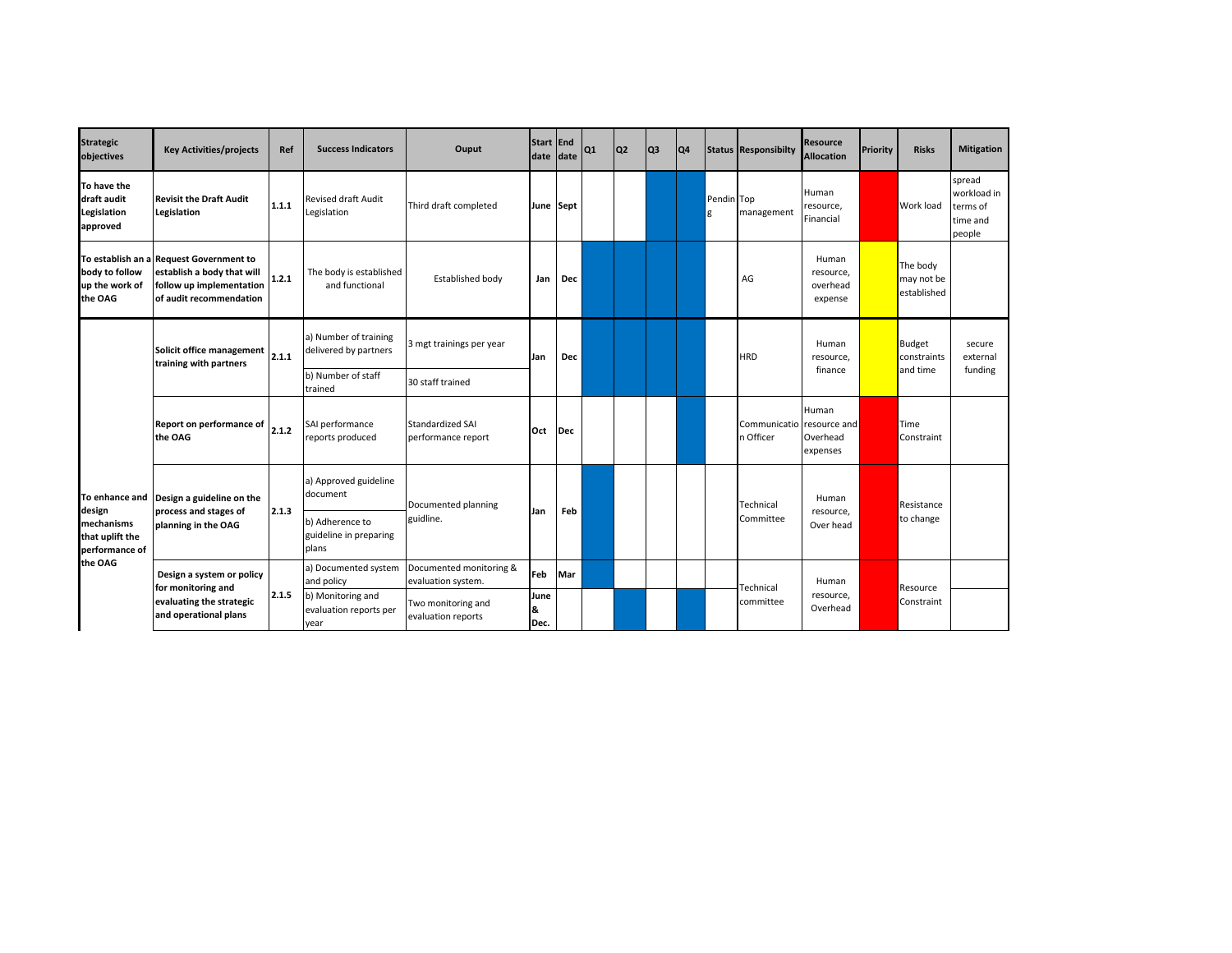| <b>Strategic</b><br>objectives                                                         | <b>Key Activities/projects</b>                                                                                               | Ref   | <b>Success Indicators</b>                           | Ouput                                         | Start End<br>date date |     | Q <sub>1</sub> | Q <sub>2</sub> | Q <sub>3</sub> | Q4 |                 | <b>Status Responsibilty</b> | Resource<br><b>Allocation</b>                 | Priority | <b>Risks</b>                             | <b>Mitigation</b>                                       |
|----------------------------------------------------------------------------------------|------------------------------------------------------------------------------------------------------------------------------|-------|-----------------------------------------------------|-----------------------------------------------|------------------------|-----|----------------|----------------|----------------|----|-----------------|-----------------------------|-----------------------------------------------|----------|------------------------------------------|---------------------------------------------------------|
| To have the<br>draft audit<br>Legislation<br>approved                                  | <b>Revisit the Draft Audit</b><br>Legislation                                                                                | 1.1.1 | <b>Revised draft Audit</b><br>Legislation           | Third draft completed                         | June Sept              |     |                |                |                |    | Pendin Top<br>g | management                  | Human<br>resource,<br>Financial               |          | Work load                                | spread<br>workload in<br>terms of<br>time and<br>people |
| body to follow<br>up the work of<br>the OAG                                            | To establish an a Request Government to<br>establish a body that will<br>follow up implementation<br>of audit recommendation | 1.2.1 | The body is established<br>and functional           | Established body                              | Jan                    | Dec |                |                |                |    |                 | AG                          | Human<br>resource,<br>overhead<br>expense     |          | The body<br>may not be<br>established    |                                                         |
| To enhance and<br>design<br>mechanisms<br>that uplift the<br>performance of<br>the OAG | Solicit office management<br>training with partners                                                                          | 2.1.1 | a) Number of training<br>delivered by partners      | 3 mgt trainings per year                      | Jan                    | Dec |                |                |                |    |                 | <b>HRD</b>                  | Human<br>resource,<br>finance                 |          | <b>Budget</b><br>constraints<br>and time | secure<br>external<br>funding                           |
|                                                                                        |                                                                                                                              |       | b) Number of staff<br>trained                       | 30 staff trained                              |                        |     |                |                |                |    |                 |                             |                                               |          |                                          |                                                         |
|                                                                                        | Report on performance of<br>the OAG                                                                                          | 2.1.2 | SAI performance<br>reports produced                 | <b>Standardized SAI</b><br>performance report | Oct                    | Dec |                |                |                |    |                 | Communicatio<br>n Officer   | Human<br>resource and<br>Overhead<br>expenses |          | Time<br>Constraint                       |                                                         |
|                                                                                        | Design a guideline on the                                                                                                    |       | a) Approved guideline<br>document                   | Documented planning                           |                        |     |                |                |                |    |                 | Technical                   | Human                                         |          | Resistance                               |                                                         |
|                                                                                        | process and stages of<br>planning in the OAG                                                                                 | 2.1.3 | b) Adherence to<br>guideline in preparing<br>plans  | guidline.                                     | Jan                    | Feb |                |                |                |    |                 | Committee                   | resource,<br>Over head                        |          | to change                                |                                                         |
|                                                                                        | Design a system or policy                                                                                                    |       | a) Documented system<br>and policy                  | Documented monitoring &<br>evaluation system. | Feb                    | Mar |                |                |                |    |                 |                             | Human                                         |          |                                          |                                                         |
|                                                                                        | for monitoring and<br>evaluating the strategic<br>and operational plans                                                      | 2.1.5 | b) Monitoring and<br>evaluation reports per<br>year | Two monitoring and<br>evaluation reports      | June<br>8.<br>Dec.     |     |                |                |                |    |                 | Technical<br>committee      | resource,<br>Overhead                         |          | Resource<br>Constraint                   |                                                         |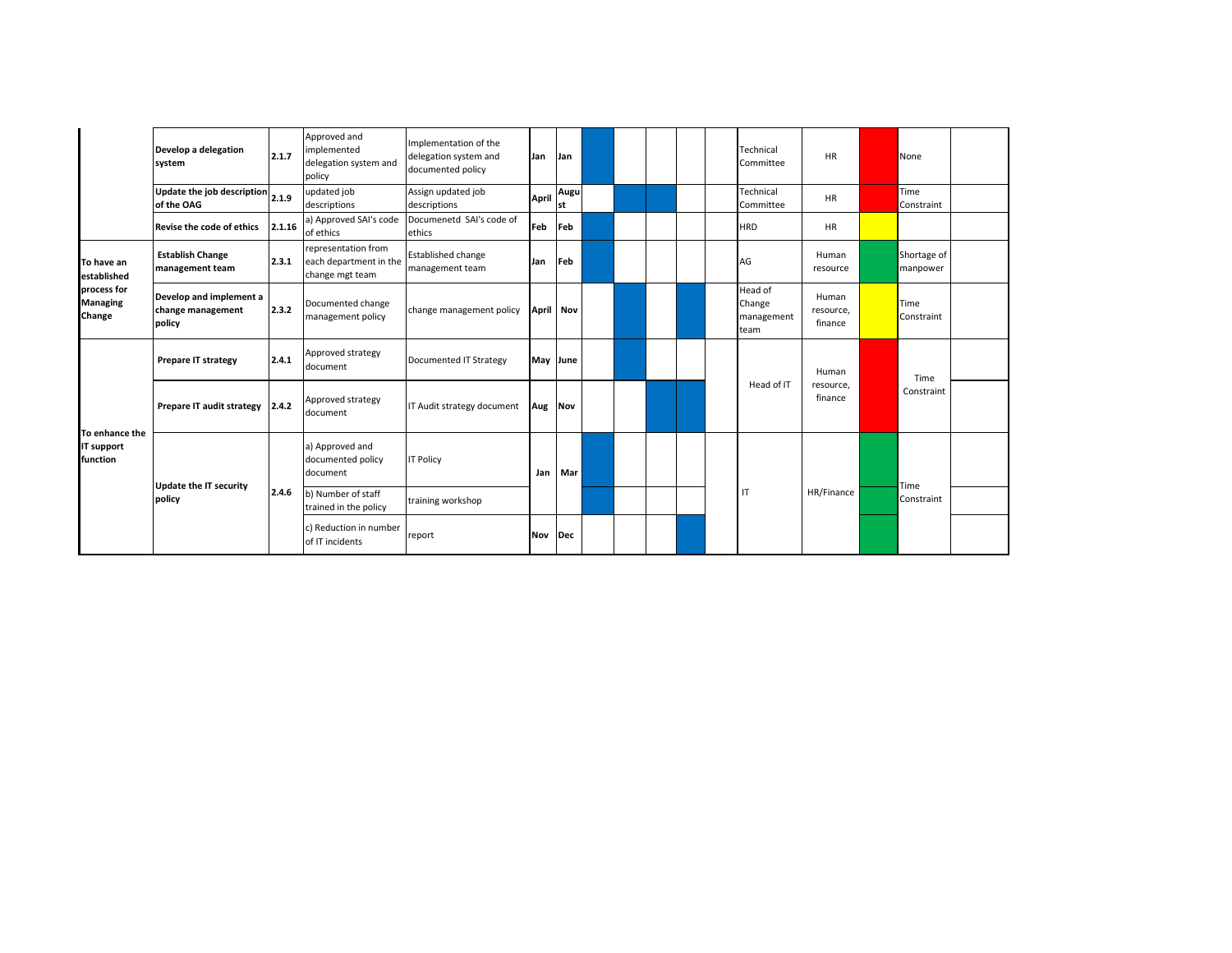|                                          | Develop a delegation<br>system                           | 2.1.7  | Approved and<br>implemented<br>delegation system and<br>policy   | Implementation of the<br>delegation system and<br>documented policy | Jan              | Jan        |  |  | Technical<br>Committee                  | <b>HR</b>                     | None                    |  |
|------------------------------------------|----------------------------------------------------------|--------|------------------------------------------------------------------|---------------------------------------------------------------------|------------------|------------|--|--|-----------------------------------------|-------------------------------|-------------------------|--|
|                                          | Update the job description $\vert_{2.1.9}$<br>of the OAG |        | updated job<br>descriptions                                      | Assign updated job<br>descriptions                                  | <b>April</b>     | Augu<br>st |  |  | Technical<br>Committee                  | <b>HR</b>                     | Time<br>Constraint      |  |
|                                          | Revise the code of ethics                                | 2.1.16 | a) Approved SAI's code<br>of ethics                              | Documenetd SAI's code of<br>ethics                                  | Feb              | Feb        |  |  | <b>HRD</b>                              | HR                            |                         |  |
| To have an<br>established                | <b>Establish Change</b><br>management team               | 2.3.1  | representation from<br>each department in the<br>change mgt team | <b>Established change</b><br>management team                        | Jan              | Feb        |  |  | AG                                      | Human<br>resource             | Shortage of<br>manpower |  |
| process for<br><b>Managing</b><br>Change | Develop and implement a<br>change management<br>policy   | 2.3.2  | Documented change<br>management policy                           | change management policy                                            | <b>April Nov</b> |            |  |  | Head of<br>Change<br>management<br>team | Human<br>resource,<br>finance | Time<br>Constraint      |  |
|                                          | <b>Prepare IT strategy</b>                               | 2.4.1  | Approved strategy<br>document                                    | Documented IT Strategy                                              | May June         |            |  |  |                                         | Human                         | Time                    |  |
| To enhance the<br>IT support<br>function | Prepare IT audit strategy 2.4.2                          |        | Approved strategy<br>document                                    | IT Audit strategy document                                          | Aug Nov          |            |  |  | Head of IT                              | resource,<br>finance          | Constraint              |  |
|                                          |                                                          |        | a) Approved and<br>documented policy<br>document                 | <b>IT Policy</b>                                                    | Jan              | Mar        |  |  |                                         |                               |                         |  |
|                                          | <b>Update the IT security</b><br>policy                  | 2.4.6  | b) Number of staff<br>trained in the policy                      | training workshop                                                   |                  |            |  |  | IT                                      | HR/Finance                    | Time<br>Constraint      |  |
|                                          |                                                          |        | c) Reduction in number<br>of IT incidents                        | report                                                              | Nov              | Dec        |  |  |                                         |                               |                         |  |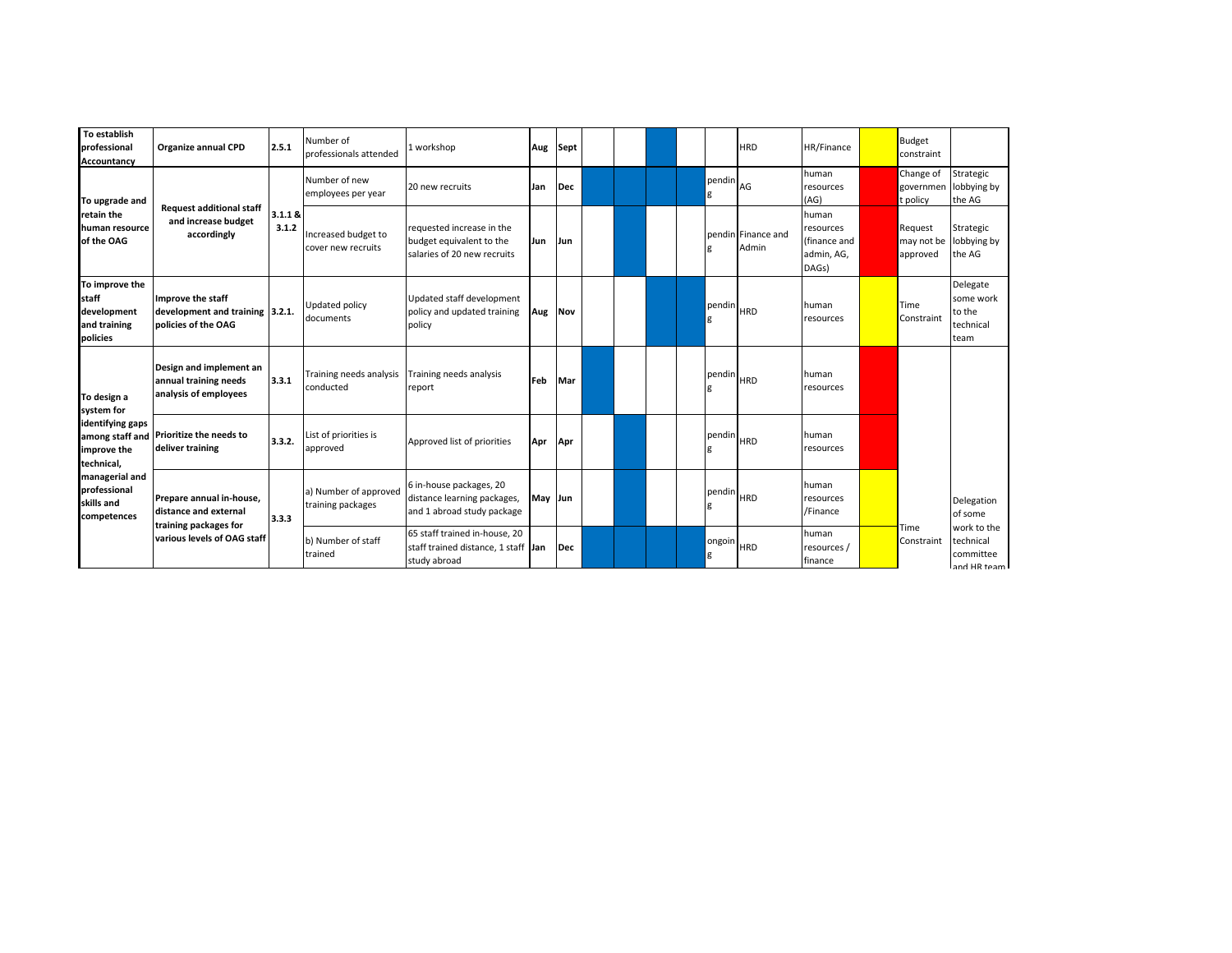| To establish<br>professional<br>Accountancy                        | Organize annual CPD                                                         | 2.5.1            | Number of<br>professionals attended        | 1 workshop                                                                           | Aug     | Sept |  |  |             | <b>HRD</b>                  | HR/Finance                                                | Budget<br>constraint               |                                                      |
|--------------------------------------------------------------------|-----------------------------------------------------------------------------|------------------|--------------------------------------------|--------------------------------------------------------------------------------------|---------|------|--|--|-------------|-----------------------------|-----------------------------------------------------------|------------------------------------|------------------------------------------------------|
| To upgrade and                                                     |                                                                             |                  | Number of new<br>employees per year        | 20 new recruits                                                                      | Jan     | Dec  |  |  | pendin<br>g | AG                          | human<br>resources<br>(AG)                                | Change of<br>governmen<br>t policy | Strategic<br>obbying by<br>the AG                    |
| retain the<br>human resource<br>of the OAG                         | <b>Request additional staff</b><br>and increase budget<br>accordingly       | 3.1.1 &<br>3.1.2 | Increased budget to<br>cover new recruits  | requested increase in the<br>budget equivalent to the<br>salaries of 20 new recruits | Jun     | Jun  |  |  |             | pendin Finance and<br>Admin | human<br>resources<br>(finance and<br>admin, AG,<br>DAGs) | Request<br>may not be<br>approved  | Strategic<br>obbying by<br>the AG                    |
| To improve the<br>staff<br>development<br>and training<br>policies | Improve the staff<br>development and training 3.2.1.<br>policies of the OAG |                  | Updated policy<br>documents                | Updated staff development<br>policy and updated training<br>policy                   | Aug     | Nov  |  |  | pendin<br>g | <b>HRD</b>                  | human<br>resources                                        | Time<br>Constraint                 | Delegate<br>some work<br>to the<br>technical<br>team |
| To design a<br>system for                                          | Design and implement an<br>annual training needs<br>analysis of employees   | 3.3.1            | Training needs analysis<br>conducted       | Training needs analysis<br>report                                                    | Feb     | Mar  |  |  | pendin      | <b>HRD</b>                  | human<br>resources                                        |                                    |                                                      |
| identifying gaps<br>among staff and<br>improve the<br>technical,   | Prioritize the needs to<br>deliver training                                 | 3.3.2.           | List of priorities is<br>approved          | Approved list of priorities                                                          | Apr     | Apr  |  |  | pendin      | <b>HRD</b>                  | human<br>resources                                        |                                    |                                                      |
| managerial and<br>professional<br>skills and<br>competences        | Prepare annual in-house.<br>distance and external                           | 3.3.3            | a) Number of approved<br>training packages | 6 in-house packages, 20<br>distance learning packages,<br>and 1 abroad study package | May Jun |      |  |  | pendin      | <b>HRD</b>                  | human<br>resources<br>/Finance                            |                                    | Delegation<br>of some                                |
|                                                                    | training packages for<br>various levels of OAG staff                        |                  | b) Number of staff<br>trained              | 65 staff trained in-house, 20<br>staff trained distance, 1 staff Jan<br>study abroad |         | Dec  |  |  | ongoin<br>g | <b>HRD</b>                  | human<br>resources /<br>finance                           | Time<br>Constraint                 | work to the<br>technical<br>committee<br>and HR team |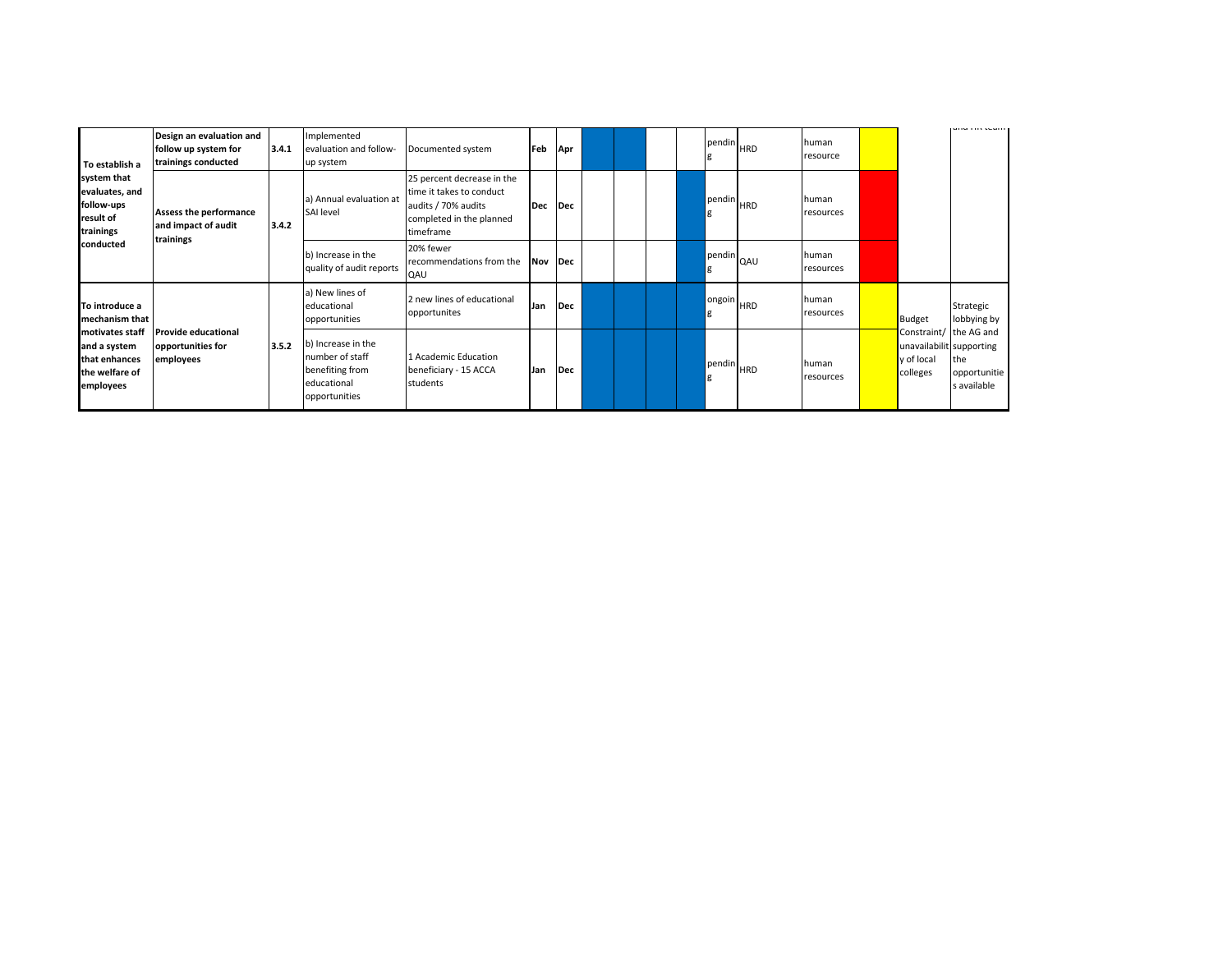| To establish a                                                                  | Design an evaluation and<br>follow up system for<br>trainings conducted | 3.4.1 | Implemented<br>evaluation and follow-<br>up system                                       | Documented system                                                                                                      | Feb        | Apr |  |  |   | Ipendin <sub>HRD</sub> | human<br>resource  |                                                                              | <b>GITA TIIS COULD</b>             |
|---------------------------------------------------------------------------------|-------------------------------------------------------------------------|-------|------------------------------------------------------------------------------------------|------------------------------------------------------------------------------------------------------------------------|------------|-----|--|--|---|------------------------|--------------------|------------------------------------------------------------------------------|------------------------------------|
| system that<br>evaluates, and<br>follow-ups<br>result of<br>trainings           | Assess the performance<br>and impact of audit<br>trainings              | 3.4.2 | a) Annual evaluation at<br>SAI level                                                     | 25 percent decrease in the<br>time it takes to conduct<br>audits / 70% audits<br>completed in the planned<br>timeframe | <b>Dec</b> | Dec |  |  | g | pendin HRD             | human<br>resources |                                                                              |                                    |
| conducted                                                                       |                                                                         |       | b) Increase in the<br>quality of audit reports                                           | 20% fewer<br>recommendations from the<br>QAU                                                                           | Nov Dec    |     |  |  | g | pendin QAU             | human<br>resources |                                                                              |                                    |
| To introduce a<br>mechanism that                                                |                                                                         |       | a) New lines of<br>educational<br>opportunities                                          | 2 new lines of educational<br>opportunites                                                                             | Jan        | Dec |  |  | g | ongoin HRD             | human<br>resources | Budget                                                                       | Strategic<br>lobbying by           |
| motivates staff<br>and a system<br>that enhances<br>the welfare of<br>employees | <b>Provide educational</b><br>opportunities for<br>employees            | 3.5.2 | b) Increase in the<br>number of staff<br>benefiting from<br>educational<br>opportunities | 1 Academic Education<br>beneficiary - 15 ACCA<br>students                                                              | Jan        | Dec |  |  | g | pendin HRD             | human<br>resources | Constraint/ the AG and<br>unavailabilit supporting<br>y of local<br>colleges | the<br>opportunitie<br>s available |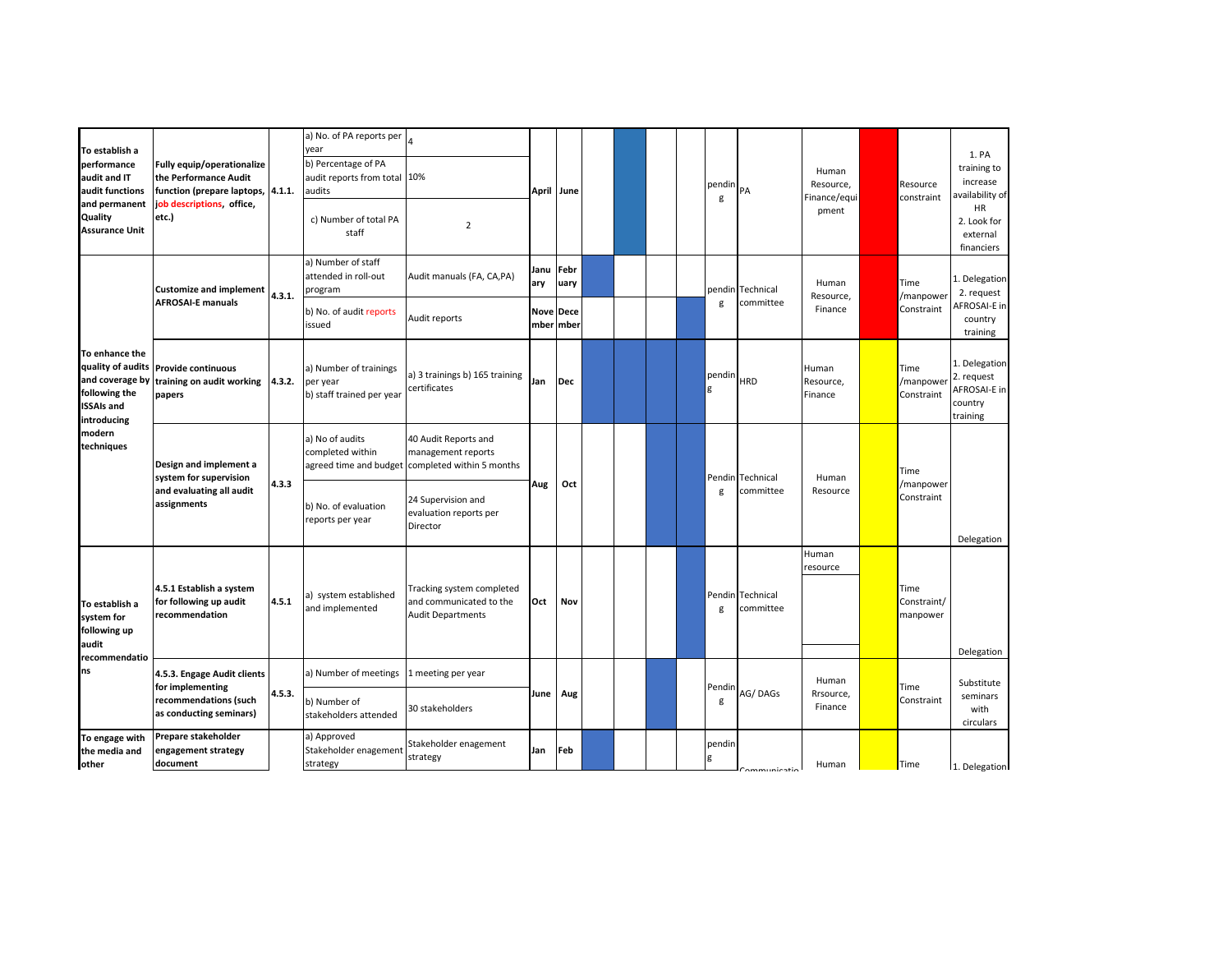| To establish a<br>performance<br>audit and IT<br>audit functions<br>and permanent<br>Quality<br><b>Assurance Unit</b> | Fully equip/operationalize<br>the Performance Audit<br>function (prepare laptops, 4.1.1.<br>job descriptions, office,<br>etc.) |        | a) No. of PA reports per<br>year<br>b) Percentage of PA<br>audit reports from total 10%<br>audits<br>c) Number of total PA<br>staff | $\overline{2}$                                                                                                       |                     | April June                  |  |  | pendin<br>g | PA                            | Human<br>Resource,<br>Finance/equi<br>pment | Resource<br>constraint          | 1. PA<br>training to<br>increase<br>availability of<br>HR<br>2. Look for<br>external<br>financiers |
|-----------------------------------------------------------------------------------------------------------------------|--------------------------------------------------------------------------------------------------------------------------------|--------|-------------------------------------------------------------------------------------------------------------------------------------|----------------------------------------------------------------------------------------------------------------------|---------------------|-----------------------------|--|--|-------------|-------------------------------|---------------------------------------------|---------------------------------|----------------------------------------------------------------------------------------------------|
|                                                                                                                       | <b>Customize and implement</b><br><b>AFROSAI-E manuals</b>                                                                     | 4.3.1. | a) Number of staff<br>attended in roll-out<br>program<br>b) No. of audit reports                                                    | Audit manuals (FA, CA, PA)<br>Audit reports                                                                          | Janu<br>ary<br>Nove | Febr<br>uary<br><b>Dece</b> |  |  | g           | pendin Technical<br>committee | Human<br>Resource,<br>Finance               | Time<br>/manpower<br>Constraint | 1. Delegation<br>2. request<br>AFROSAI-E in                                                        |
| To enhance the<br>quality of audits<br>and coverage by<br>following the<br><b>ISSAIs and</b>                          | <b>Provide continuous</b><br>training on audit working<br>papers                                                               | 4.3.2. | issued<br>a) Number of trainings<br>per year<br>b) staff trained per year                                                           | a) 3 trainings b) 165 training<br>certificates                                                                       | Jan                 | mber mber<br><b>Dec</b>     |  |  | pendin      | <b>HRD</b>                    | Human<br>Resource,<br>Finance               | Time<br>/manpower<br>Constraint | country<br>training<br>1. Delegation<br>2. request<br>AFROSAI-E in<br>country<br>training          |
| introducing<br>modern<br>techniques                                                                                   | Design and implement a<br>system for supervision<br>and evaluating all audit<br>assignments                                    | 4.3.3  | a) No of audits<br>completed within<br>b) No. of evaluation                                                                         | 40 Audit Reports and<br>management reports<br>agreed time and budget completed within 5 months<br>24 Supervision and | Aug                 | Oct                         |  |  | g           | Pendin Technical<br>committee | Human<br>Resource                           | Time<br>/manpower<br>Constraint |                                                                                                    |
|                                                                                                                       |                                                                                                                                |        | reports per year                                                                                                                    | evaluation reports per<br>Director                                                                                   |                     |                             |  |  |             |                               |                                             |                                 | Delegation                                                                                         |
| To establish a<br>system for<br>following up<br>audit                                                                 | 4.5.1 Establish a system<br>for following up audit<br>recommendation                                                           | 4.5.1  | a) system established<br>and implemented                                                                                            | Tracking system completed<br>and communicated to the<br><b>Audit Departments</b>                                     | Oct                 | Nov                         |  |  | g           | Pendin Technical<br>committee | Human<br>resource                           | Time<br>Constraint/<br>manpower |                                                                                                    |
| recommendatio<br>ns                                                                                                   | 4.5.3. Engage Audit clients                                                                                                    |        | a) Number of meetings                                                                                                               | 1 meeting per year                                                                                                   |                     |                             |  |  |             |                               | Human                                       |                                 | Delegation<br>Substitute                                                                           |
|                                                                                                                       | for implementing<br>recommendations (such<br>as conducting seminars)                                                           | 4.5.3. | b) Number of<br>stakeholders attended                                                                                               | 30 stakeholders                                                                                                      | June                | Aug                         |  |  | Pendin<br>g | AG/DAGs                       | Rrsource,<br>Finance                        | Time<br>Constraint              | seminars<br>with<br>circulars                                                                      |
| To engage with<br>the media and<br>other                                                                              | Prepare stakeholder<br>engagement strategy<br>document                                                                         |        | a) Approved<br>Stakeholder enagement<br>strategy                                                                                    | Stakeholder enagement<br>strategy                                                                                    | Jan                 | Feb                         |  |  | pendin      | `ommunicatie                  | Human                                       | Time                            | 1. Delegation                                                                                      |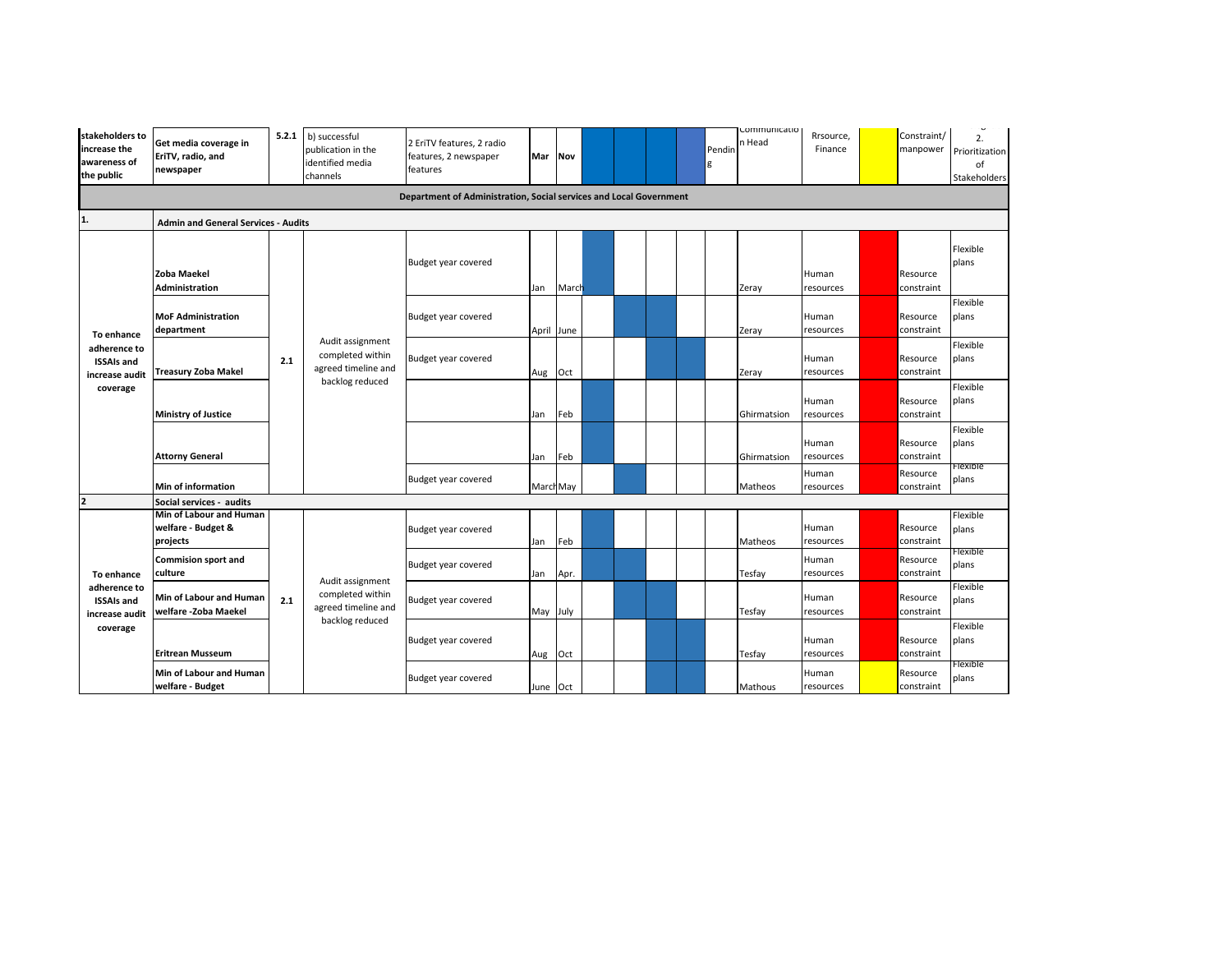| stakeholders to<br>increase the<br>awareness of<br>the public   | Get media coverage in<br>EriTV, radio, and<br>newspaper   | 5.2.1 | b) successful<br>publication in the<br>identified media<br>channels            | 2 EriTV features, 2 radio<br>features, 2 newspaper<br>features     | Mar      | <b>Nov</b> |  |  | Pendir | communicatio<br>n Head | Rrsource,<br>Finance | Constraint/<br>manpower | ن-<br>2.<br>Prioritization<br>of<br>Stakeholders |
|-----------------------------------------------------------------|-----------------------------------------------------------|-------|--------------------------------------------------------------------------------|--------------------------------------------------------------------|----------|------------|--|--|--------|------------------------|----------------------|-------------------------|--------------------------------------------------|
|                                                                 |                                                           |       |                                                                                | Department of Administration, Social services and Local Government |          |            |  |  |        |                        |                      |                         |                                                  |
| 1.                                                              | <b>Admin and General Services - Audits</b>                |       |                                                                                |                                                                    |          |            |  |  |        |                        |                      |                         |                                                  |
|                                                                 | <b>Zoba Maekel</b><br><b>Administration</b>               |       |                                                                                | Budget year covered                                                | Jan      | March      |  |  |        | Zeray                  | Human<br>resources   | Resource<br>constraint  | Flexible<br>plans                                |
| To enhance                                                      | <b>MoF Administration</b><br>department                   |       |                                                                                | Budget year covered                                                |          | April June |  |  |        | Zeray                  | Human<br>resources   | Resource<br>constraint  | Flexible<br>plans                                |
| adherence to<br><b>ISSAIs and</b><br>increase audit<br>coverage | Treasury Zoba Makel                                       | 2.1   | Audit assignment<br>completed within<br>agreed timeline and<br>backlog reduced | Budget year covered                                                | Aug      | Oct        |  |  |        | Zeray                  | Human<br>resources   | Resource<br>constraint  | Flexible<br>plans                                |
|                                                                 | <b>Ministry of Justice</b>                                |       |                                                                                |                                                                    | Jan      | Feb        |  |  |        | Ghirmatsion            | Human<br>resources   | Resource<br>constraint  | Flexible<br>plans                                |
|                                                                 | <b>Attorny General</b>                                    |       |                                                                                |                                                                    | Jan      | Feb        |  |  |        | Ghirmatsion            | Human<br>resources   | Resource<br>constraint  | Flexible<br>plans<br>-техтоте                    |
|                                                                 | <b>Min of information</b>                                 |       |                                                                                | Budget year covered                                                |          | March May  |  |  |        | Matheos                | Human<br>resources   | Resource<br>constraint  | plans                                            |
| $\overline{2}$                                                  | Social services - audits                                  |       |                                                                                |                                                                    |          |            |  |  |        |                        |                      |                         |                                                  |
|                                                                 | Min of Labour and Human<br>welfare - Budget &<br>projects |       |                                                                                | Budget year covered                                                | Jan      | Feb        |  |  |        | Matheos                | Human<br>resources   | Resource<br>constraint  | Flexible<br>plans                                |
| To enhance                                                      | <b>Commision sport and</b><br>culture                     |       | Audit assignment                                                               | Budget year covered                                                | Jan      | Apr.       |  |  |        | Tesfay                 | Human<br>resources   | Resource<br>constraint  | Flexible<br>plans                                |
| adherence to<br><b>ISSAIs and</b><br>increase audit<br>coverage | <b>Min of Labour and Human</b><br>welfare -Zoba Maekel    | 2.1   | completed within<br>agreed timeline and                                        | Budget year covered                                                | May July |            |  |  |        | Tesfay                 | Human<br>resources   | Resource<br>constraint  | Flexible<br>plans                                |
|                                                                 | <b>Eritrean Musseum</b>                                   |       | backlog reduced                                                                | Budget year covered                                                | Aug Oct  |            |  |  |        | Tesfay                 | Human<br>resources   | Resource<br>constraint  | Flexible<br>plans                                |
|                                                                 | Min of Labour and Human<br>welfare - Budget               |       |                                                                                | Budget year covered                                                | June Oct |            |  |  |        | Mathous                | Human<br>resources   | Resource<br>constraint  | Flexible<br>plans                                |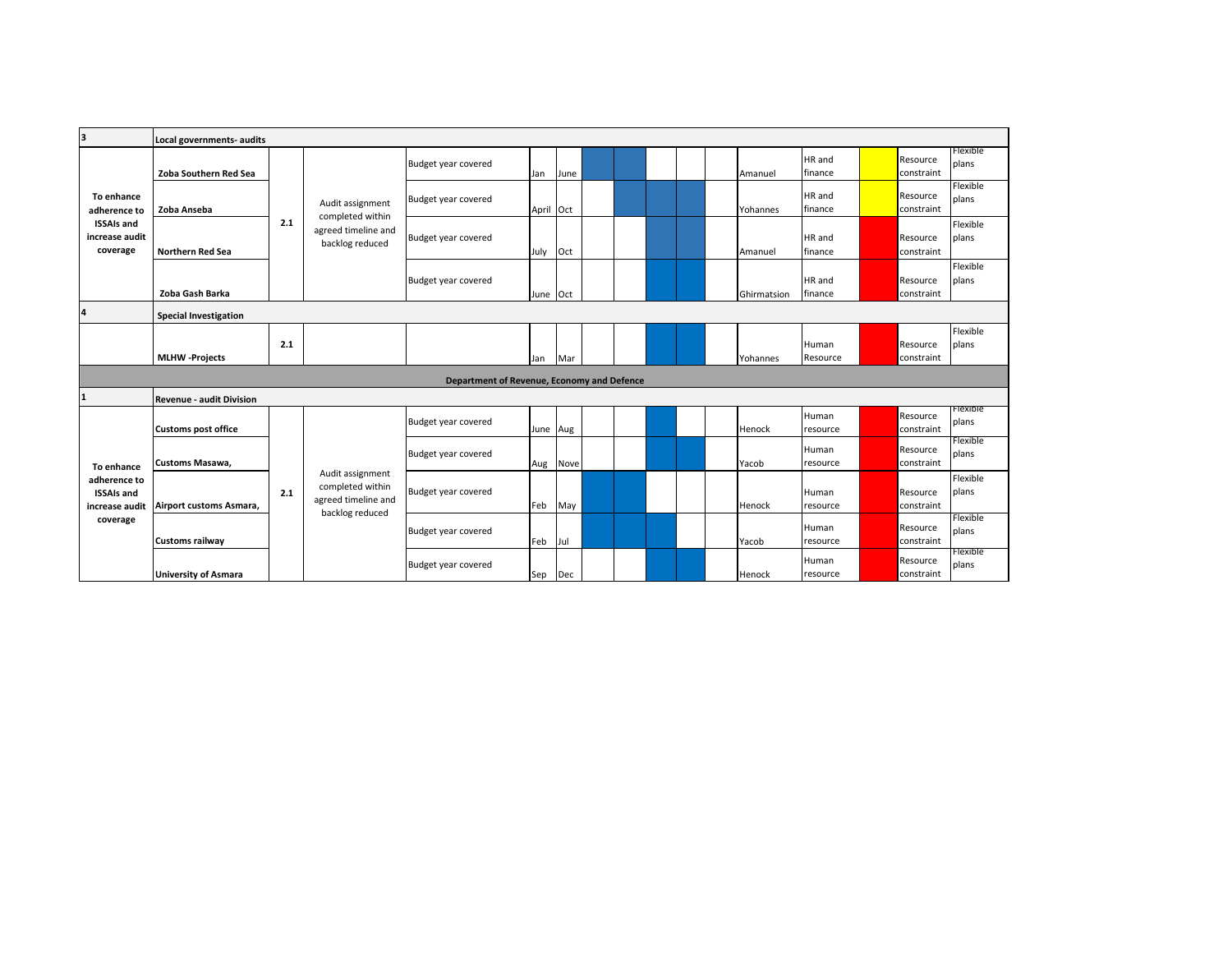| з                                                               | Local governments- audits       |     |                                                             |                                            |           |          |  |  |             |                   |                        |                   |
|-----------------------------------------------------------------|---------------------------------|-----|-------------------------------------------------------------|--------------------------------------------|-----------|----------|--|--|-------------|-------------------|------------------------|-------------------|
|                                                                 | Zoba Southern Red Sea           |     |                                                             | Budget year covered                        | Jan       | June     |  |  | Amanuel     | HR and<br>finance | Resource<br>constraint | Flexible<br>plans |
| To enhance<br>adherence to                                      | Zoba Anseba                     |     | Audit assignment                                            | Budget year covered                        | April Oct |          |  |  | Yohannes    | HR and<br>finance | Resource<br>constraint | Flexible<br>plans |
| <b>ISSAIs and</b><br>increase audit<br>coverage                 | <b>Northern Red Sea</b>         | 2.1 | completed within<br>agreed timeline and<br>backlog reduced  | Budget year covered                        | July      | Oct      |  |  | Amanuel     | HR and<br>finance | Resource<br>constraint | Flexible<br>plans |
|                                                                 | Zoba Gash Barka                 |     |                                                             | Budget year covered                        | June Oct  |          |  |  | Ghirmatsion | HR and<br>finance | Resource<br>constraint | Flexible<br>plans |
| $\overline{a}$                                                  | <b>Special Investigation</b>    |     |                                                             |                                            |           |          |  |  |             |                   |                        |                   |
|                                                                 | <b>MLHW</b> -Projects           | 2.1 |                                                             |                                            | Jan       | Mar      |  |  | Yohannes    | Human<br>Resource | Resource<br>constraint | Flexible<br>plans |
|                                                                 |                                 |     |                                                             | Department of Revenue, Economy and Defence |           |          |  |  |             |                   |                        |                   |
| $\mathbf{1}$                                                    | <b>Revenue - audit Division</b> |     |                                                             |                                            |           |          |  |  |             |                   |                        |                   |
|                                                                 | <b>Customs post office</b>      |     |                                                             | Budget year covered                        |           | June Aug |  |  | Henock      | Human<br>resource | Resource<br>constraint | нехіріе<br>plans  |
| To enhance                                                      | Customs Masawa,                 |     |                                                             | Budget year covered                        | Aug       | Nove     |  |  | Yacob       | Human<br>resource | Resource<br>constraint | Flexible<br>plans |
| adherence to<br><b>ISSAIs and</b><br>increase audit<br>coverage | Airport customs Asmara,         | 2.1 | Audit assignment<br>completed within<br>agreed timeline and | Budget year covered                        | Feb       | May      |  |  | Henock      | Human<br>resource | Resource<br>constraint | Flexible<br>plans |
|                                                                 | <b>Customs railway</b>          |     | backlog reduced                                             | Budget year covered                        | Feb Jul   |          |  |  | Yacob       | Human<br>resource | Resource<br>constraint | Flexible<br>plans |
|                                                                 | <b>University of Asmara</b>     |     |                                                             | Budget year covered                        | Sep Dec   |          |  |  | Henock      | Human<br>resource | Resource<br>constraint | Flexible<br>plans |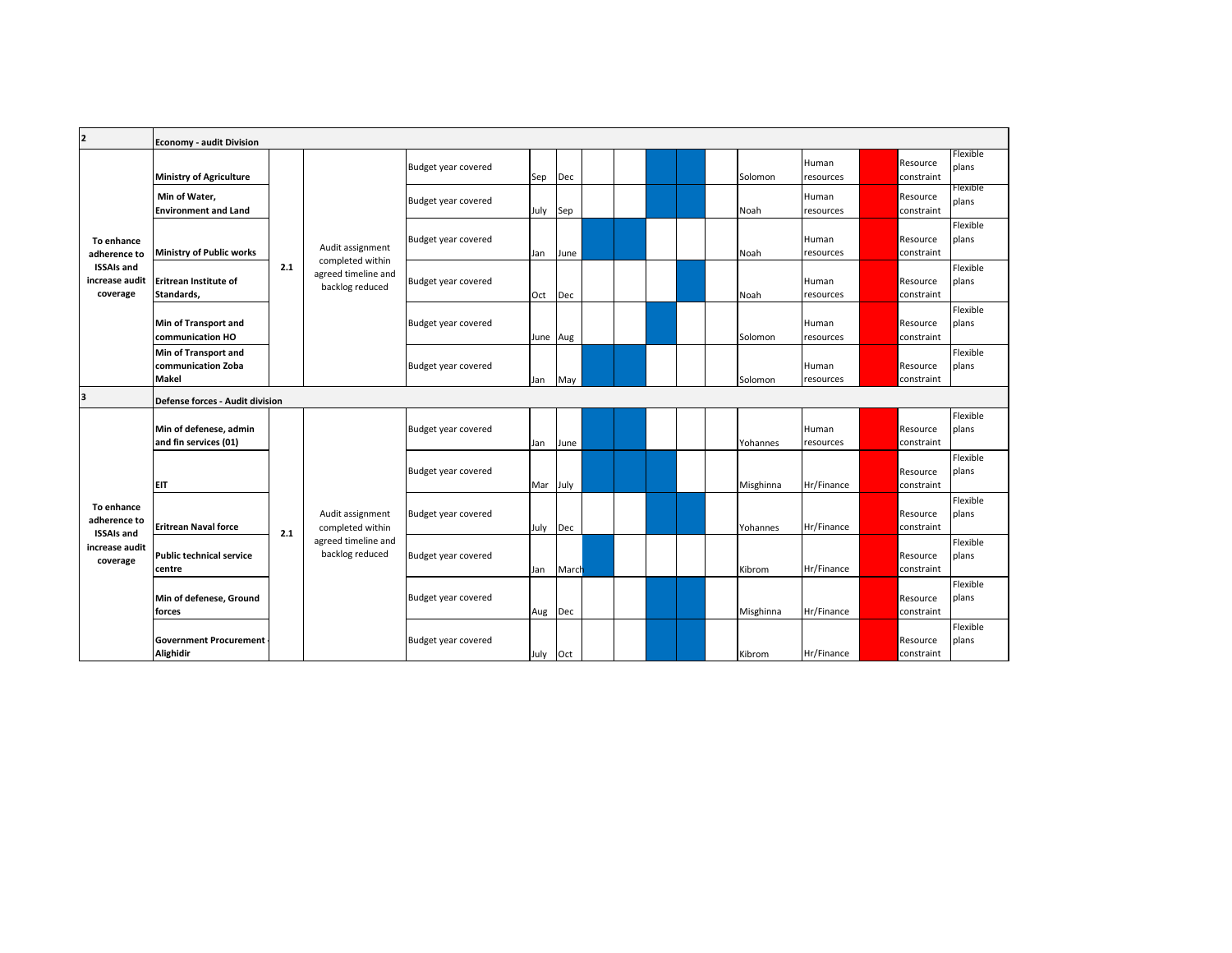| $\mathbf{z}$                                    | <b>Economy - audit Division</b>                            |     |                                        |                     |          |       |  |  |           |                    |                        |                   |
|-------------------------------------------------|------------------------------------------------------------|-----|----------------------------------------|---------------------|----------|-------|--|--|-----------|--------------------|------------------------|-------------------|
|                                                 | <b>Ministry of Agriculture</b>                             |     |                                        | Budget year covered | Sep Dec  |       |  |  | Solomon   | Human<br>resources | Resource<br>constraint | Flexible<br>plans |
|                                                 | Min of Water,<br><b>Environment and Land</b>               |     |                                        | Budget year covered | July     | Sep   |  |  | Noah      | Human<br>resources | Resource<br>constraint | Flexible<br>plans |
| To enhance<br>adherence to                      | Ministry of Public works                                   |     | Audit assignment<br>completed within   | Budget year covered | Jan      | June  |  |  | Noah      | Human<br>resources | Resource<br>constraint | Flexible<br>plans |
| <b>ISSAIs and</b><br>increase audit<br>coverage | Eritrean Institute of<br>Standards,                        | 2.1 | agreed timeline and<br>backlog reduced | Budget year covered | Oct      | Dec   |  |  | Noah      | Human<br>resources | Resource<br>constraint | Flexible<br>plans |
|                                                 | Min of Transport and<br>communication HO                   |     |                                        | Budget year covered | June Aug |       |  |  | Solomon   | Human<br>resources | Resource<br>constraint | Flexible<br>plans |
| 3                                               | Min of Transport and<br>communication Zoba<br><b>Makel</b> |     |                                        | Budget year covered | Jan      | May   |  |  | Solomon   | Human<br>resources | Resource<br>constraint | Flexible<br>plans |
|                                                 | Defense forces - Audit division                            |     |                                        |                     |          |       |  |  |           |                    |                        |                   |
|                                                 | Min of defenese, admin<br>and fin services (01)            |     |                                        | Budget year covered | Jan      | June  |  |  | Yohannes  | Human<br>resources | Resource<br>constraint | Flexible<br>plans |
|                                                 | <b>EIT</b>                                                 |     |                                        | Budget year covered | Mar July |       |  |  | Misghinna | Hr/Finance         | Resource<br>constraint | Flexible<br>plans |
| To enhance<br>adherence to                      | <b>Eritrean Naval force</b>                                | 2.1 | Audit assignment<br>completed within   | Budget year covered | July     | Dec   |  |  | Yohannes  | Hr/Finance         | Resource<br>constraint | Flexible<br>plans |
| <b>ISSAIs and</b><br>increase audit<br>coverage | <b>Public technical service</b><br>centre                  |     | agreed timeline and<br>backlog reduced | Budget year covered | Jan      | March |  |  | Kibrom    | Hr/Finance         | Resource<br>constraint | Flexible<br>plans |
|                                                 | Min of defenese, Ground<br>forces                          |     |                                        | Budget year covered | Aug Dec  |       |  |  | Misghinna | Hr/Finance         | Resource<br>constraint | Flexible<br>plans |
|                                                 | <b>Government Procurement</b><br><b>Alighidir</b>          |     |                                        | Budget year covered | July Oct |       |  |  | Kibrom    | Hr/Finance         | Resource<br>constraint | Flexible<br>plans |